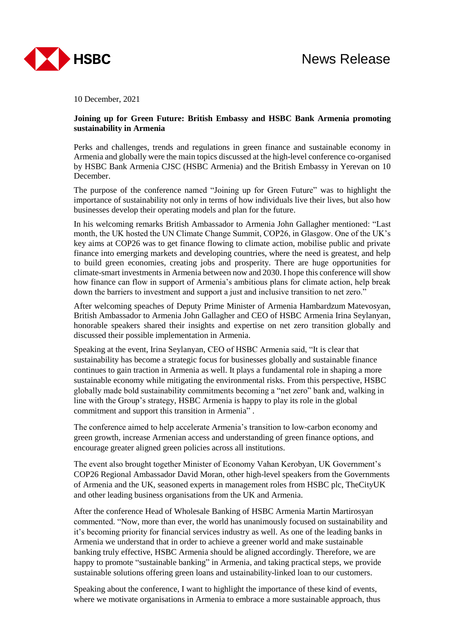10 December, 2021

## **Joining up for Green Future: British Embassy and HSBC Bank Armenia promoting sustainability in Armenia**

Perks and challenges, trends and regulations in green finance and sustainable economy in Armenia and globally were the main topics discussed at the high-level conference co-organised by HSBC Bank Armenia CJSC (HSBC Armenia) and the British Embassy in Yerevan on 10 December.

The purpose of the conference named "Joining up for Green Future" was to highlight the importance of sustainability not only in terms of how individuals live their lives, but also how businesses develop their operating models and plan for the future.

In his welcoming remarks British Ambassador to Armenia John Gallagher mentioned: "Last month, the UK hosted the UN Climate Change Summit, COP26, in Glasgow. One of the UK's key aims at COP26 was to get finance flowing to climate action, mobilise public and private finance into emerging markets and developing countries, where the need is greatest, and help to build green economies, creating jobs and prosperity. There are huge opportunities for climate-smart investments in Armenia between now and 2030. I hope this conference will show how finance can flow in support of Armenia's ambitious plans for climate action, help break down the barriers to investment and support a just and inclusive transition to net zero."

After welcoming speaches of Deputy Prime Minister of Armenia Hambardzum Matevosyan, British Ambassador to Armenia John Gallagher and CEO of HSBC Armenia Irina Seylanyan, honorable speakers shared their insights and expertise on net zero transition globally and discussed their possible implementation in Armenia.

Speaking at the event, Irina Seylanyan, CEO of HSBC Armenia said, "It is clear that sustainability has become a strategic focus for businesses globally and sustainable finance continues to gain traction in Armenia as well. It plays a fundamental role in shaping a more sustainable economy while mitigating the environmental risks. From this perspective, HSBC globally made bold sustainability commitments becoming a "net zero" bank and, walking in line with the Group's strategy, HSBC Armenia is happy to play its role in the global commitment and support this transition in Armenia" .

The conference aimed to help accelerate Armenia's transition to low-carbon economy and green growth, increase Armenian access and understanding of green finance options, and encourage greater aligned green policies across all institutions.

The event also brought together Minister of Economy Vahan Kerobyan, UK Government's COP26 Regional Ambassador David Moran, other high-level speakers from the Governments of Armenia and the UK, seasoned experts in management roles from HSBC plc, TheCityUK and other leading business organisations from the UK and Armenia.

After the conference Head of Wholesale Banking of HSBC Armenia Martin Martirosyan commented. "Now, more than ever, the world has unanimously focused on sustainability and it's becoming priority for financial services industry as well. As one of the leading banks in Armenia we understand that in order to achieve a greener world and make sustainable banking truly effective, HSBC Armenia should be aligned accordingly. Therefore, we are happy to promote "sustainable banking" in Armenia, and taking practical steps, we provide sustainable solutions offering green loans and ustainability-linked loan to our customers.

Speaking about the conference, I want to highlight the importance of these kind of events, where we motivate organisations in Armenia to embrace a more sustainable approach, thus